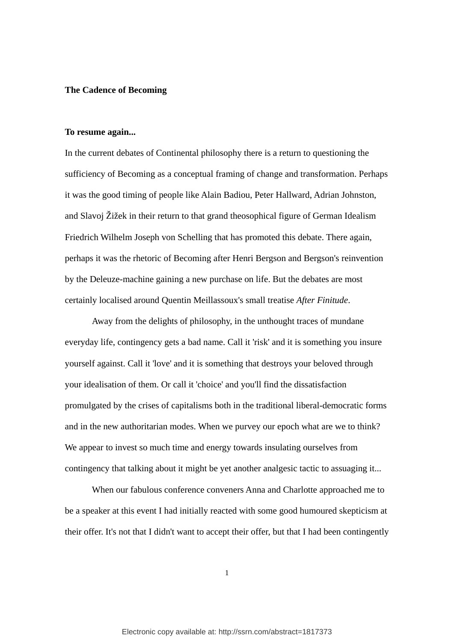### **The Cadence of Becoming**

### **To resume again...**

In the current debates of Continental philosophy there is a return to questioning the sufficiency of Becoming as a conceptual framing of change and transformation. Perhaps it was the good timing of people like Alain Badiou, Peter Hallward, Adrian Johnston, and Slavoj Žižek in their return to that grand theosophical figure of German Idealism Friedrich Wilhelm Joseph von Schelling that has promoted this debate. There again, perhaps it was the rhetoric of Becoming after Henri Bergson and Bergson's reinvention by the Deleuze-machine gaining a new purchase on life. But the debates are most certainly localised around Quentin Meillassoux's small treatise *After Finitude*.

Away from the delights of philosophy, in the unthought traces of mundane everyday life, contingency gets a bad name. Call it 'risk' and it is something you insure yourself against. Call it 'love' and it is something that destroys your beloved through your idealisation of them. Or call it 'choice' and you'll find the dissatisfaction promulgated by the crises of capitalisms both in the traditional liberal-democratic forms and in the new authoritarian modes. When we purvey our epoch what are we to think? We appear to invest so much time and energy towards insulating ourselves from contingency that talking about it might be yet another analgesic tactic to assuaging it...

<span id="page-0-0"></span>When our fabulous conference conveners Anna and Charlotte approached me to be a speaker at this event I had initially reacted with some good humoured skepticism at their offer. It's not that I didn't want to accept their offer, but that I had been contingently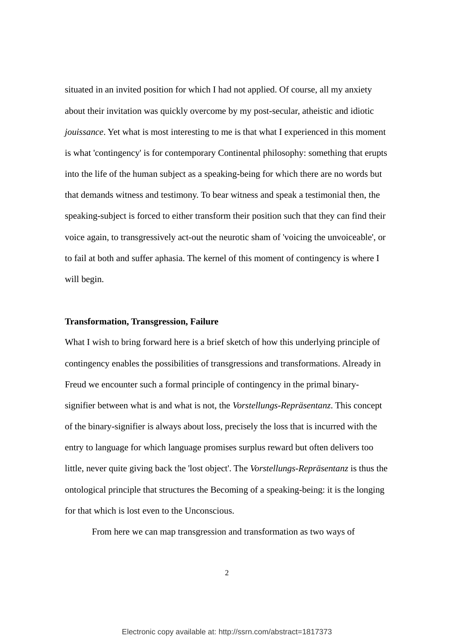situated in an invited position for which I had not applied. Of course, all my anxiety about their invitation was quickly overcome by my post-secular, atheistic and idiotic *jouissance*. Yet what is most interesting to me is that what I experienced in this moment is what 'contingency' is for contemporary Continental philosophy: something that erupts into the life of the human subject as a speaking-being for which there are no words but that demands witness and testimony. To bear witness and speak a testimonial then, the speaking-subject is forced to either transform their position such that they can find their voice again, to transgressively act-out the neurotic sham of 'voicing the unvoiceable', or to fail at both and suffer aphasia. The kernel of this moment of contingency is where I will begin.

# **Transformation, Transgression, Failure**

What I wish to bring forward here is a brief sketch of how this underlying principle of contingency enables the possibilities of transgressions and transformations. Already in Freud we encounter such a formal principle of contingency in the primal binarysignifier between what is and what is not, the *Vorstellungs-Repräsentanz*. This concept of the binary-signifier is always about loss, precisely the loss that is incurred with the entry to language for which language promises surplus reward but often delivers too little, never quite giving back the 'lost object'. The *Vorstellungs-Repräsentanz* is thus the ontological principle that structures the Becoming of a speaking-being: it is the longing for that which is lost even to the Unconscious.

From here we can map transgression and transformation as two ways of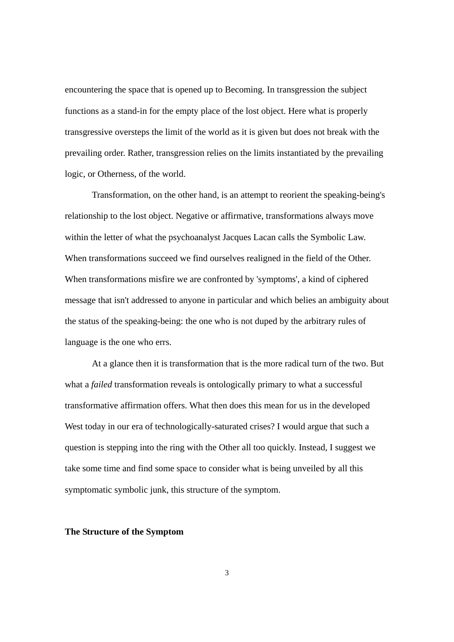encountering the space that is opened up to Becoming. In transgression the subject functions as a stand-in for the empty place of the lost object. Here what is properly transgressive oversteps the limit of the world as it is given but does not break with the prevailing order. Rather, transgression relies on the limits instantiated by the prevailing logic, or Otherness, of the world.

Transformation, on the other hand, is an attempt to reorient the speaking-being's relationship to the lost object. Negative or affirmative, transformations always move within the letter of what the psychoanalyst Jacques Lacan calls the Symbolic Law. When transformations succeed we find ourselves realigned in the field of the Other. When transformations misfire we are confronted by 'symptoms', a kind of ciphered message that isn't addressed to anyone in particular and which belies an ambiguity about the status of the speaking-being: the one who is not duped by the arbitrary rules of language is the one who errs.

At a glance then it is transformation that is the more radical turn of the two. But what a *failed* transformation reveals is ontologically primary to what a successful transformative affirmation offers. What then does this mean for us in the developed West today in our era of technologically-saturated crises? I would argue that such a question is stepping into the ring with the Other all too quickly. Instead, I suggest we take some time and find some space to consider what is being unveiled by all this symptomatic symbolic junk, this structure of the symptom.

#### **The Structure of the Symptom**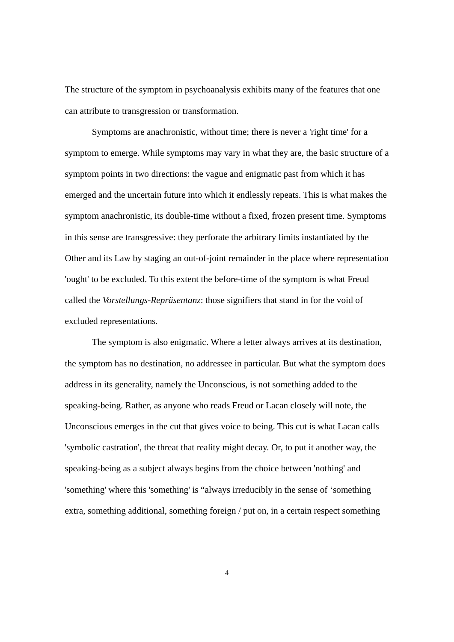The structure of the symptom in psychoanalysis exhibits many of the features that one can attribute to transgression or transformation.

Symptoms are anachronistic, without time; there is never a 'right time' for a symptom to emerge. While symptoms may vary in what they are, the basic structure of a symptom points in two directions: the vague and enigmatic past from which it has emerged and the uncertain future into which it endlessly repeats. This is what makes the symptom anachronistic, its double-time without a fixed, frozen present time. Symptoms in this sense are transgressive: they perforate the arbitrary limits instantiated by the Other and its Law by staging an out-of-joint remainder in the place where representation 'ought' to be excluded. To this extent the before-time of the symptom is what Freud called the *Vorstellungs-Repräsentanz*: those signifiers that stand in for the void of excluded representations.

The symptom is also enigmatic. Where a letter always arrives at its destination, the symptom has no destination, no addressee in particular. But what the symptom does address in its generality, namely the Unconscious, is not something added to the speaking-being. Rather, as anyone who reads Freud or Lacan closely will note, the Unconscious emerges in the cut that gives voice to being. This cut is what Lacan calls 'symbolic castration', the threat that reality might decay. Or, to put it another way, the speaking-being as a subject always begins from the choice between 'nothing' and 'something' where this 'something' is "always irreducibly in the sense of 'something extra, something additional, something foreign / put on, in a certain respect something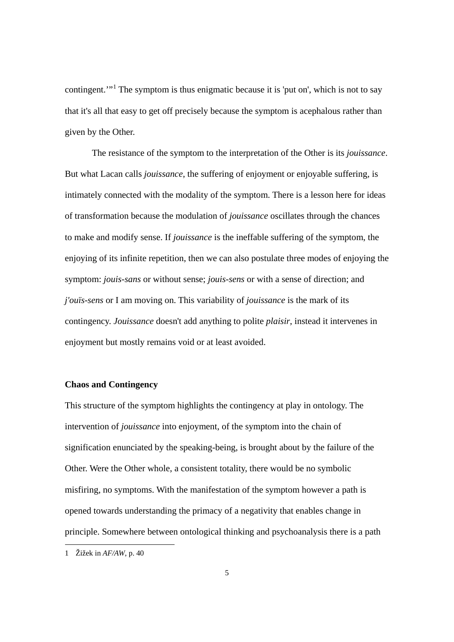contingent.<sup>"<sup>[1](#page-0-0)</sup> The symptom is thus enigmatic because it is 'put on', which is not to say</sup> that it's all that easy to get off precisely because the symptom is acephalous rather than given by the Other.

The resistance of the symptom to the interpretation of the Other is its *jouissance*. But what Lacan calls *jouissance*, the suffering of enjoyment or enjoyable suffering, is intimately connected with the modality of the symptom. There is a lesson here for ideas of transformation because the modulation of *jouissance* oscillates through the chances to make and modify sense. If *jouissance* is the ineffable suffering of the symptom, the enjoying of its infinite repetition, then we can also postulate three modes of enjoying the symptom: *jouis-sans* or without sense; *jouis-sens* or with a sense of direction; and *j'ouïs-sens* or I am moving on. This variability of *jouissance* is the mark of its contingency. *Jouissance* doesn't add anything to polite *plaisir*, instead it intervenes in enjoyment but mostly remains void or at least avoided.

## **Chaos and Contingency**

This structure of the symptom highlights the contingency at play in ontology. The intervention of *jouissance* into enjoyment, of the symptom into the chain of signification enunciated by the speaking-being, is brought about by the failure of the Other. Were the Other whole, a consistent totality, there would be no symbolic misfiring, no symptoms. With the manifestation of the symptom however a path is opened towards understanding the primacy of a negativity that enables change in principle. Somewhere between ontological thinking and psychoanalysis there is a path

<span id="page-4-0"></span> <sup>1</sup> Žižek in *AF/AW*, p. 40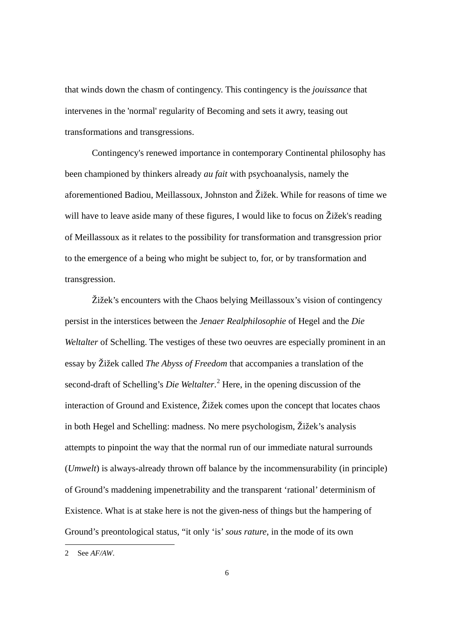that winds down the chasm of contingency. This contingency is the *jouissance* that intervenes in the 'normal' regularity of Becoming and sets it awry, teasing out transformations and transgressions.

Contingency's renewed importance in contemporary Continental philosophy has been championed by thinkers already *au fait* with psychoanalysis, namely the aforementioned Badiou, Meillassoux, Johnston and Žižek. While for reasons of time we will have to leave aside many of these figures, I would like to focus on Žižek's reading of Meillassoux as it relates to the possibility for transformation and transgression prior to the emergence of a being who might be subject to, for, or by transformation and transgression.

Žižek's encounters with the Chaos belying Meillassoux's vision of contingency persist in the interstices between the *Jenaer Realphilosophie* of Hegel and the *Die Weltalter* of Schelling. The vestiges of these two oeuvres are especially prominent in an essay by Žižek called *The Abyss of Freedom* that accompanies a translation of the second-draft of Schelling's *Die Weltalter*. [2](#page-4-0) Here, in the opening discussion of the interaction of Ground and Existence, Žižek comes upon the concept that locates chaos in both Hegel and Schelling: madness. No mere psychologism, Žižek's analysis attempts to pinpoint the way that the normal run of our immediate natural surrounds (*Umwelt*) is always-already thrown off balance by the incommensurability (in principle) of Ground's maddening impenetrability and the transparent 'rational' determinism of Existence. What is at stake here is not the given-ness of things but the hampering of Ground's preontological status, "it only 'is' *sous rature*, in the mode of its own

<span id="page-5-0"></span> <sup>2</sup> See *AF/AW*.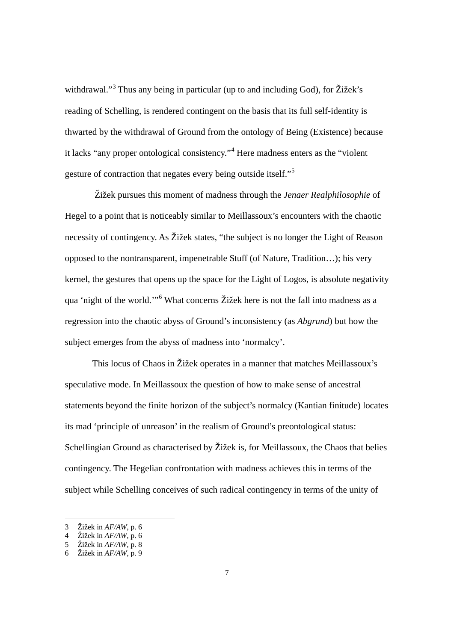withdrawal."<sup>[3](#page-5-0)</sup> Thus any being in particular (up to and including God), for  $\check{Z}$ ižek's reading of Schelling, is rendered contingent on the basis that its full self-identity is thwarted by the withdrawal of Ground from the ontology of Being (Existence) because it lacks "any proper ontological consistency."[4](#page-6-0) Here madness enters as the "violent gesture of contraction that negates every being outside itself."[5](#page-6-1)

Žižek pursues this moment of madness through the *Jenaer Realphilosophie* of Hegel to a point that is noticeably similar to Meillassoux's encounters with the chaotic necessity of contingency. As Žižek states, "the subject is no longer the Light of Reason opposed to the nontransparent, impenetrable Stuff (of Nature, Tradition…); his very kernel, the gestures that opens up the space for the Light of Logos, is absolute negativity qua 'night of the world.'"[6](#page-6-2) What concerns Žižek here is not the fall into madness as a regression into the chaotic abyss of Ground's inconsistency (as *Abgrund*) but how the subject emerges from the abyss of madness into 'normalcy'.

This locus of Chaos in Žižek operates in a manner that matches Meillassoux's speculative mode. In Meillassoux the question of how to make sense of ancestral statements beyond the finite horizon of the subject's normalcy (Kantian finitude) locates its mad 'principle of unreason' in the realism of Ground's preontological status: Schellingian Ground as characterised by Žižek is, for Meillassoux, the Chaos that belies contingency. The Hegelian confrontation with madness achieves this in terms of the subject while Schelling conceives of such radical contingency in terms of the unity of

 <sup>3</sup> Žižek in *AF/AW*, p. 6

<sup>4</sup> Žižek in *AF/AW*, p. 6

<span id="page-6-1"></span><span id="page-6-0"></span><sup>5</sup> Žižek in *AF/AW*, p. 8

<span id="page-6-2"></span><sup>6</sup> Žižek in *AF/AW*, p. 9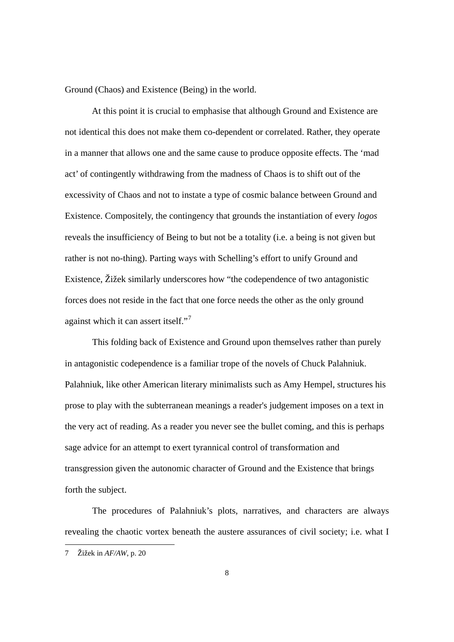Ground (Chaos) and Existence (Being) in the world.

At this point it is crucial to emphasise that although Ground and Existence are not identical this does not make them co-dependent or correlated. Rather, they operate in a manner that allows one and the same cause to produce opposite effects. The 'mad act' of contingently withdrawing from the madness of Chaos is to shift out of the excessivity of Chaos and not to instate a type of cosmic balance between Ground and Existence. Compositely, the contingency that grounds the instantiation of every *logos* reveals the insufficiency of Being to but not be a totality (i.e. a being is not given but rather is not no-thing). Parting ways with Schelling's effort to unify Ground and Existence, Žižek similarly underscores how "the codependence of two antagonistic forces does not reside in the fact that one force needs the other as the only ground against which it can assert itself."<sup>[7](#page-6-2)</sup>

This folding back of Existence and Ground upon themselves rather than purely in antagonistic codependence is a familiar trope of the novels of Chuck Palahniuk. Palahniuk, like other American literary minimalists such as Amy Hempel, structures his prose to play with the subterranean meanings a reader's judgement imposes on a text in the very act of reading. As a reader you never see the bullet coming, and this is perhaps sage advice for an attempt to exert tyrannical control of transformation and transgression given the autonomic character of Ground and the Existence that brings forth the subject.

The procedures of Palahniuk's plots, narratives, and characters are always revealing the chaotic vortex beneath the austere assurances of civil society; i.e. what I

<span id="page-7-0"></span> <sup>7</sup> Žižek in *AF/AW*, p. 20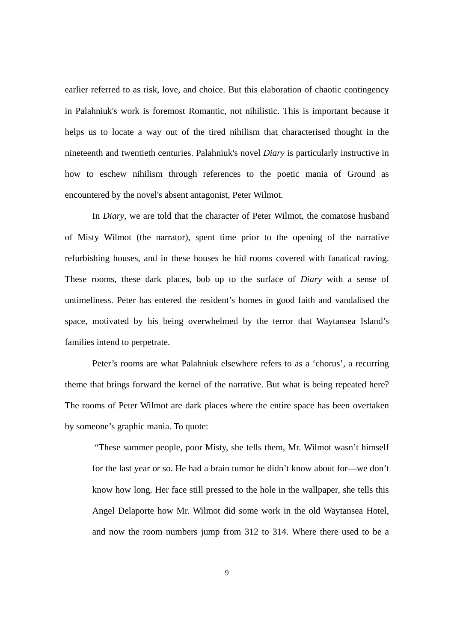earlier referred to as risk, love, and choice. But this elaboration of chaotic contingency in Palahniuk's work is foremost Romantic, not nihilistic. This is important because it helps us to locate a way out of the tired nihilism that characterised thought in the nineteenth and twentieth centuries. Palahniuk's novel *Diary* is particularly instructive in how to eschew nihilism through references to the poetic mania of Ground as encountered by the novel's absent antagonist, Peter Wilmot.

In *Diary*, we are told that the character of Peter Wilmot, the comatose husband of Misty Wilmot (the narrator), spent time prior to the opening of the narrative refurbishing houses, and in these houses he hid rooms covered with fanatical raving. These rooms, these dark places, bob up to the surface of *Diary* with a sense of untimeliness. Peter has entered the resident's homes in good faith and vandalised the space, motivated by his being overwhelmed by the terror that Waytansea Island's families intend to perpetrate.

Peter's rooms are what Palahniuk elsewhere refers to as a 'chorus', a recurring theme that brings forward the kernel of the narrative. But what is being repeated here? The rooms of Peter Wilmot are dark places where the entire space has been overtaken by someone's graphic mania. To quote:

"These summer people, poor Misty, she tells them, Mr. Wilmot wasn't himself for the last year or so. He had a brain tumor he didn't know about for—we don't know how long. Her face still pressed to the hole in the wallpaper, she tells this Angel Delaporte how Mr. Wilmot did some work in the old Waytansea Hotel, and now the room numbers jump from 312 to 314. Where there used to be a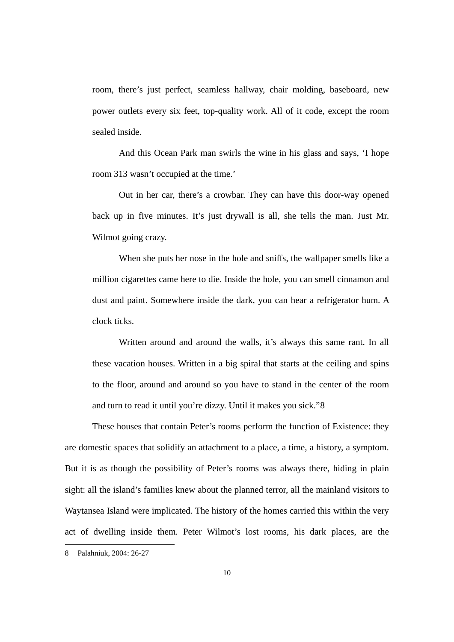room, there's just perfect, seamless hallway, chair molding, baseboard, new power outlets every six feet, top-quality work. All of it code, except the room sealed inside.

And this Ocean Park man swirls the wine in his glass and says, 'I hope room 313 wasn't occupied at the time.'

Out in her car, there's a crowbar. They can have this door-way opened back up in five minutes. It's just drywall is all, she tells the man. Just Mr. Wilmot going crazy.

When she puts her nose in the hole and sniffs, the wallpaper smells like a million cigarettes came here to die. Inside the hole, you can smell cinnamon and dust and paint. Somewhere inside the dark, you can hear a refrigerator hum. A clock ticks.

Written around and around the walls, it's always this same rant. In all these vacation houses. Written in a big spiral that starts at the ceiling and spins to the floor, around and around so you have to stand in the center of the room and turn to read it until you're dizzy. Until it makes you sick."[8](#page-7-0)

These houses that contain Peter's rooms perform the function of Existence: they are domestic spaces that solidify an attachment to a place, a time, a history, a symptom. But it is as though the possibility of Peter's rooms was always there, hiding in plain sight: all the island's families knew about the planned terror, all the mainland visitors to Waytansea Island were implicated. The history of the homes carried this within the very act of dwelling inside them. Peter Wilmot's lost rooms, his dark places, are the

<span id="page-9-0"></span> <sup>8</sup> Palahniuk, 2004: 26-27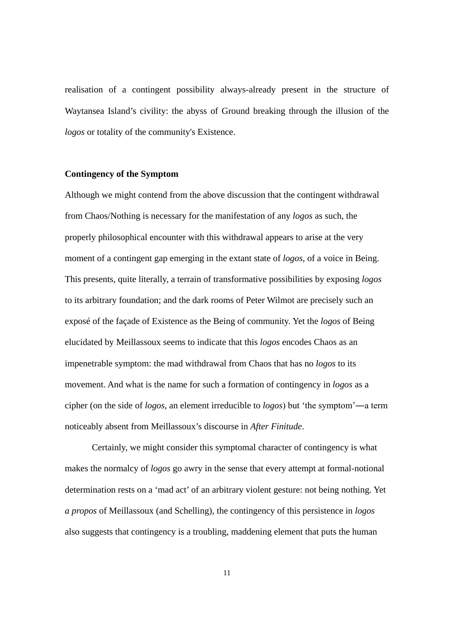realisation of a contingent possibility always-already present in the structure of Waytansea Island's civility: the abyss of Ground breaking through the illusion of the *logos* or totality of the community's Existence.

# **Contingency of the Symptom**

Although we might contend from the above discussion that the contingent withdrawal from Chaos/Nothing is necessary for the manifestation of any *logos* as such, the properly philosophical encounter with this withdrawal appears to arise at the very moment of a contingent gap emerging in the extant state of *logos*, of a voice in Being. This presents, quite literally, a terrain of transformative possibilities by exposing *logos* to its arbitrary foundation; and the dark rooms of Peter Wilmot are precisely such an exposé of the façade of Existence as the Being of community. Yet the *logos* of Being elucidated by Meillassoux seems to indicate that this *logos* encodes Chaos as an impenetrable symptom: the mad withdrawal from Chaos that has no *logos* to its movement. And what is the name for such a formation of contingency in *logos* as a cipher (on the side of *logos*, an element irreducible to *logos*) but 'the symptom'―a term noticeably absent from Meillassoux's discourse in *After Finitude*.

Certainly, we might consider this symptomal character of contingency is what makes the normalcy of *logos* go awry in the sense that every attempt at formal-notional determination rests on a 'mad act' of an arbitrary violent gesture: not being nothing. Yet *a propos* of Meillassoux (and Schelling), the contingency of this persistence in *logos*  also suggests that contingency is a troubling, maddening element that puts the human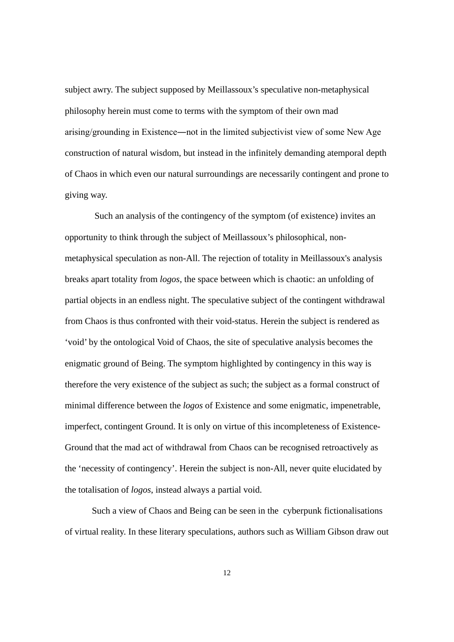subject awry. The subject supposed by Meillassoux's speculative non-metaphysical philosophy herein must come to terms with the symptom of their own mad arising/grounding in Existence―not in the limited subjectivist view of some New Age construction of natural wisdom, but instead in the infinitely demanding atemporal depth of Chaos in which even our natural surroundings are necessarily contingent and prone to giving way.

Such an analysis of the contingency of the symptom (of existence) invites an opportunity to think through the subject of Meillassoux's philosophical, nonmetaphysical speculation as non-All. The rejection of totality in Meillassoux's analysis breaks apart totality from *logos*, the space between which is chaotic: an unfolding of partial objects in an endless night. The speculative subject of the contingent withdrawal from Chaos is thus confronted with their void-status. Herein the subject is rendered as 'void' by the ontological Void of Chaos, the site of speculative analysis becomes the enigmatic ground of Being. The symptom highlighted by contingency in this way is therefore the very existence of the subject as such; the subject as a formal construct of minimal difference between the *logos* of Existence and some enigmatic, impenetrable, imperfect, contingent Ground. It is only on virtue of this incompleteness of Existence-Ground that the mad act of withdrawal from Chaos can be recognised retroactively as the 'necessity of contingency'. Herein the subject is non-All, never quite elucidated by the totalisation of *logos*, instead always a partial void.

Such a view of Chaos and Being can be seen in the cyberpunk fictionalisations of virtual reality. In these literary speculations, authors such as William Gibson draw out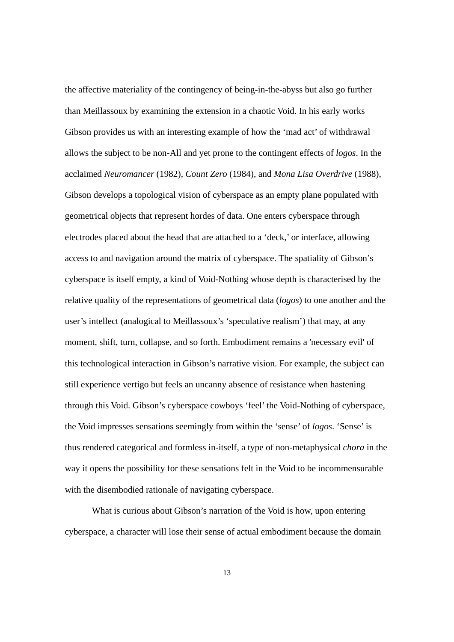the affective materiality of the contingency of being-in-the-abyss but also go further than Meillassoux by examining the extension in a chaotic Void. In his early works Gibson provides us with an interesting example of how the 'mad act' of withdrawal allows the subject to be non-All and yet prone to the contingent effects of *logos*. In the acclaimed *Neuromancer* (1982), *Count Zero* (1984), and *Mona Lisa Overdrive* (1988), Gibson develops a topological vision of cyberspace as an empty plane populated with geometrical objects that represent hordes of data. One enters cyberspace through electrodes placed about the head that are attached to a 'deck,' or interface, allowing access to and navigation around the matrix of cyberspace. The spatiality of Gibson's cyberspace is itself empty, a kind of Void-Nothing whose depth is characterised by the relative quality of the representations of geometrical data (*logos*) to one another and the user's intellect (analogical to Meillassoux's 'speculative realism') that may, at any moment, shift, turn, collapse, and so forth. Embodiment remains a 'necessary evil' of this technological interaction in Gibson's narrative vision. For example, the subject can still experience vertigo but feels an uncanny absence of resistance when hastening through this Void. Gibson's cyberspace cowboys 'feel' the Void-Nothing of cyberspace, the Void impresses sensations seemingly from within the 'sense' of *logos*. 'Sense' is thus rendered categorical and formless in-itself, a type of non-metaphysical *chora* in the way it opens the possibility for these sensations felt in the Void to be incommensurable with the disembodied rationale of navigating cyberspace.

What is curious about Gibson's narration of the Void is how, upon entering cyberspace, a character will lose their sense of actual embodiment because the domain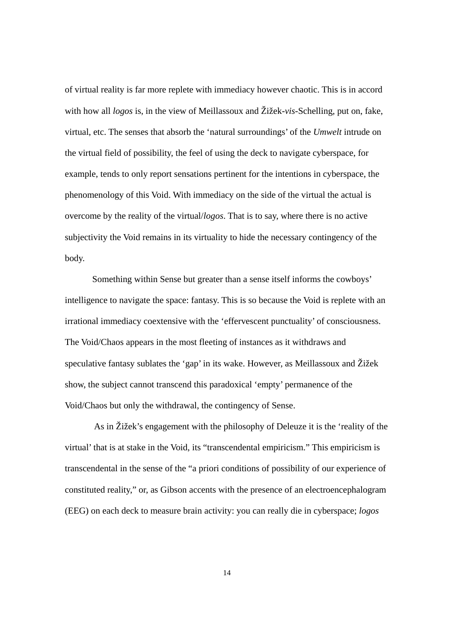of virtual reality is far more replete with immediacy however chaotic. This is in accord with how all *logos* is, in the view of Meillassoux and Žižek-*vis*-Schelling, put on, fake, virtual, etc. The senses that absorb the 'natural surroundings' of the *Umwelt* intrude on the virtual field of possibility, the feel of using the deck to navigate cyberspace, for example, tends to only report sensations pertinent for the intentions in cyberspace, the phenomenology of this Void. With immediacy on the side of the virtual the actual is overcome by the reality of the virtual/*logos*. That is to say, where there is no active subjectivity the Void remains in its virtuality to hide the necessary contingency of the body.

Something within Sense but greater than a sense itself informs the cowboys' intelligence to navigate the space: fantasy. This is so because the Void is replete with an irrational immediacy coextensive with the 'effervescent punctuality' of consciousness. The Void/Chaos appears in the most fleeting of instances as it withdraws and speculative fantasy sublates the 'gap' in its wake. However, as Meillassoux and Žižek show, the subject cannot transcend this paradoxical 'empty' permanence of the Void/Chaos but only the withdrawal, the contingency of Sense.

As in Žižek's engagement with the philosophy of Deleuze it is the 'reality of the virtual' that is at stake in the Void, its "transcendental empiricism." This empiricism is transcendental in the sense of the "a priori conditions of possibility of our experience of constituted reality," or, as Gibson accents with the presence of an electroencephalogram (EEG) on each deck to measure brain activity: you can really die in cyberspace; *logos*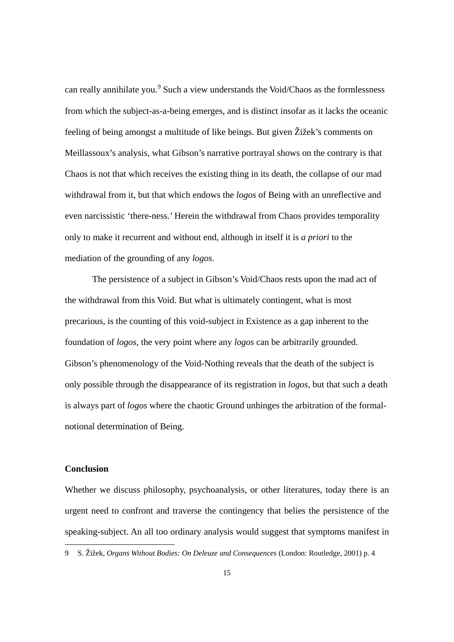can really annihilate you.<sup>[9](#page-9-0)</sup> Such a view understands the Void/Chaos as the formlessness from which the subject-as-a-being emerges, and is distinct insofar as it lacks the oceanic feeling of being amongst a multitude of like beings. But given Žižek's comments on Meillassoux's analysis, what Gibson's narrative portrayal shows on the contrary is that Chaos is not that which receives the existing thing in its death, the collapse of our mad withdrawal from it, but that which endows the *logos* of Being with an unreflective and even narcissistic 'there-ness.' Herein the withdrawal from Chaos provides temporality only to make it recurrent and without end, although in itself it is *a priori* to the mediation of the grounding of any *logos*.

The persistence of a subject in Gibson's Void/Chaos rests upon the mad act of the withdrawal from this Void. But what is ultimately contingent, what is most precarious, is the counting of this void-subject in Existence as a gap inherent to the foundation of *logos*, the very point where any *logos* can be arbitrarily grounded. Gibson's phenomenology of the Void-Nothing reveals that the death of the subject is only possible through the disappearance of its registration in *logos*, but that such a death is always part of *logos* where the chaotic Ground unhinges the arbitration of the formalnotional determination of Being.

### **Conclusion**

Whether we discuss philosophy, psychoanalysis, or other literatures, today there is an urgent need to confront and traverse the contingency that belies the persistence of the speaking-subject. An all too ordinary analysis would suggest that symptoms manifest in

 <sup>9</sup> S. Žižek, *Organs Without Bodies: On Deleuze and Consequences* (London: Routledge, 2001) p. 4